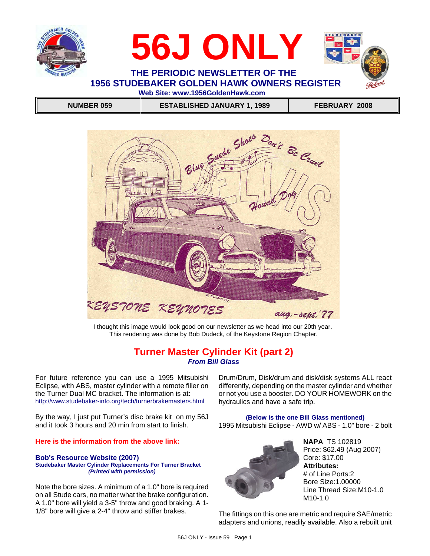



**1956 STUDEBAKER GOLDEN HAWK OWNERS REGISTER Web Site: www.1956GoldenHawk.com**

 **NUMBER 059 ESTABLISHED JANUARY 1, 1989 FEBRUARY 2008**



I thought this image would look good on our newsletter as we head into our 20th year. This rendering was done by Bob Dudeck, of the Keystone Region Chapter.

## **Turner Master Cylinder Kit (part 2)** *From Bill Glass*

For future reference you can use a 1995 Mitsubishi Eclipse, with ABS, master cylinder with a remote filler on the Turner Dual MC bracket. The information is at: http://www.studebaker-info.org/tech/turnerbrakemasters.html

By the way, I just put Turner's disc brake kit on my 56J and it took 3 hours and 20 min from start to finish.

### **Here is the information from the above link:**

### **Bob's Resource Website (2007) Studebaker Master Cylinder Replacements For Turner Bracket** *(Printed with permission)*

Note the bore sizes. A minimum of a 1.0" bore is required on all Stude cars, no matter what the brake configuration. A 1.0" bore will yield a 3-5" throw and good braking. A 1- 1/8" bore will give a 2-4" throw and stiffer brakes.

Drum/Drum, Disk/drum and disk/disk systems ALL react differently, depending on the master cylinder and whether or not you use a booster. DO YOUR HOMEWORK on the hydraulics and have a safe trip.

**(Below is the one Bill Glass mentioned)** 1995 Mitsubishi Eclipse - AWD w/ ABS - 1.0" bore - 2 bolt



**NAPA** TS 102819 Price: \$62.49 (Aug 2007) Core: \$17.00 **Attributes:** # of Line Ports:2 Bore Size:1.00000 Line Thread Size:M10-1.0 M10-1.0

The fittings on this one are metric and require SAE/metric adapters and unions, readily available. Also a rebuilt unit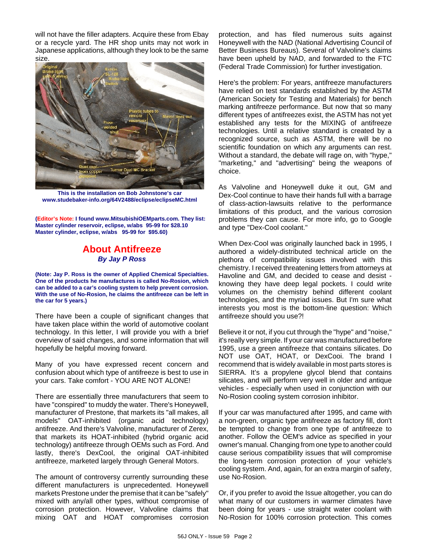will not have the filler adapters. Acquire these from Ebay or a recycle yard. The HR shop units may not work in Japanese applications, although they look to be the same size.



**This is the installation on Bob Johnstone's car www.studebaker-info.org/64V2488/eclipse/eclipseMC.html**

**(Editor's Note: I found www.MitsubishiOEMparts.com. They list: Master cylinder reservoir, eclipse, w/abs 95-99 for \$28.10 Master cylinder, eclipse, w/abs 95-99 for \$95.60)**

## **About Antifreeze** *By Jay P Ross*

**(Note: Jay P. Ross is the owner of Applied Chemical Specialties. One of the products he manufactures is called No-Rosion, which can be added to a car's cooling system to help prevent corrosion. With the use of No-Rosion, he claims the antifreeze can be left in the car for 5 years.)**

There have been a couple of significant changes that have taken place within the world of automotive coolant technology. In this letter, I will provide you with a brief overview of said changes, and some information that will hopefully be helpful moving forward.

Many of you have expressed recent concern and confusion about which type of antifreeze is best to use in your cars. Take comfort - YOU ARE NOT ALONE!

There are essentially three manufacturers that seem to have "conspired" to muddy the water. There's Honeywell, manufacturer of Prestone, that markets its "all makes, all models" OAT-inhibited (organic acid technology) antifreeze. And there's Valvoline, manufacturer of Zerex, that markets its HOAT-inhibited (hybrid organic acid technology) antifreeze through OEMs such as Ford. And lastly, there's DexCool, the original OAT-inhibited antifreeze, marketed largely through General Motors.

The amount of controversy currently surrounding these different manufacturers is unprecedented. Honeywell markets Prestone under the premise that it can be "safely" mixed with any/all other types, without compromise of corrosion protection. However, Valvoline claims that mixing OAT and HOAT compromises corrosion

protection, and has filed numerous suits against Honeywell with the NAD (National Advertising Council of Better Business Bureaus). Several of Valvoline's claims have been upheld by NAD, and forwarded to the FTC (Federal Trade Commission) for further investigation.

Here's the problem: For years, antifreeze manufacturers have relied on test standards established by the ASTM (American Society for Testing and Materials) for bench marking antifreeze performance. But now that so many different types of antifreezes exist, the ASTM has not yet established any tests for the MIXING of antifreeze technologies. Until a relative standard is created by a recognized source, such as ASTM, there will be no scientific foundation on which any arguments can rest. Without a standard, the debate will rage on, with "hype," "marketing," and "advertising" being the weapons of choice.

As Valvoline and Honeywell duke it out, GM and Dex-Cool continue to have their hands full with a barrage of class-action-lawsuits relative to the performance limitations of this product, and the various corrosion problems they can cause. For more info, go to Google and type "Dex-Cool coolant."

When Dex-Cool was originally launched back in 1995, I authored a widely-distributed technical article on the plethora of compatibility issues involved with this chemistry. I received threatening letters from attorneys at Havoline and GM, and decided to cease and desist knowing they have deep legal pockets. I could write volumes on the chemistry behind different coolant technologies, and the myriad issues. But I'm sure what interests you most is the bottom-line question: Which antifreeze should you use?!

Believe it or not, if you cut through the "hype" and "noise," it's really very simple. If your car was manufactured before 1995, use a green antifreeze that contains silicates. Do NOT use OAT, HOAT, or DexCooi. The brand I recommend that is widely available in most parts stores is SIERRA. It's a propylene glycol blend that contains silicates, and will perform very well in older and antique vehicles - especially when used in conjunction with our No-Rosion cooling system corrosion inhibitor.

If your car was manufactured after 1995, and came with a non-green, organic type antifreeze as factory fill, don't be tempted to change from one type of antifreeze to another. Follow the OEM's advice as specified in your owner's manual. Changing from one type to another could cause serious compatibility issues that will compromise the long-term corrosion protection of your vehicle's cooling system. And, again, for an extra margin of safety, use No-Rosion.

Or, if you prefer to avoid the Issue altogether, you can do what many of our customers in warmer climates have been doing for years - use straight water coolant with No-Rosion for 100% corrosion protection. This comes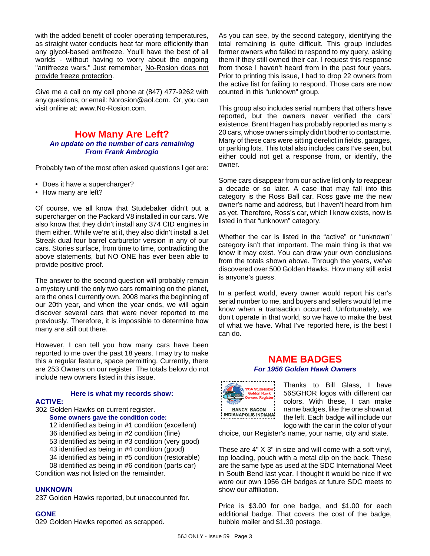with the added benefit of cooler operating temperatures, as straight water conducts heat far more efficiently than any glycol-based antifreeze. You'll have the best of all worlds - without having to worry about the ongoing "antifreeze wars." Just remember, No-Rosion does not provide freeze protection.

Give me a call on my cell phone at (847) 477-9262 with any questions, or email: Norosion@aol.com. Or, you can visit online at: www.No-Rosion.com.

## **How Many Are Left?** *An update on the number of cars remaining From Frank Ambrogio*

Probably two of the most often asked questions I get are:

- Does it have a supercharger?
- How many are left?

Of course, we all know that Studebaker didn't put a supercharger on the Packard V8 installed in our cars. We also know that they didn't install any 374 CID engines in them either. While we're at it, they also didn't install a Jet Streak dual four barrel carburetor version in any of our cars. Stories surface, from time to time, contradicting the above statements, but NO ONE has ever been able to provide positive proof.

The answer to the second question will probably remain a mystery until the only two cars remaining on the planet, are the ones I currently own. 2008 marks the beginning of our 20th year, and when the year ends, we will again discover several cars that were never reported to me previously. Therefore, it is impossible to determine how many are still out there.

However, I can tell you how many cars have been reported to me over the past 18 years. I may try to make this a regular feature, space permitting. Currently, there are 253 Owners on our register. The totals below do not include new owners listed in this issue.

### **Here is what my records show:**

### **ACTIVE:**

- 302 Golden Hawks on current register. **Some owners gave the condition code:**
	- 12 identified as being in #1 condition (excellent)
	- 36 identified as being in #2 condition (fine)
	- 53 identified as being in #3 condition (very good)
	- 43 identified as being in #4 condition (good)
	- 34 identified as being in #5 condition (restorable)
- 08 identified as being in #6 condition (parts car) Condition was not listed on the remainder.

### **UNKNOWN**

237 Golden Hawks reported, but unaccounted for.

### **GONE**

029 Golden Hawks reported as scrapped.

As you can see, by the second category, identifying the total remaining is quite difficult. This group includes former owners who failed to respond to my query, asking them if they still owned their car. I request this response from those I haven't heard from in the past four years. Prior to printing this issue, I had to drop 22 owners from the active list for failing to respond. Those cars are now counted in this "unknown" group.

This group also includes serial numbers that others have reported, but the owners never verified the cars' existence. Brent Hagen has probably reported as many s 20 cars, whose owners simply didn't bother to contact me. Many of these cars were sitting derelict in fields, garages, or parking lots. This total also includes cars I've seen, but either could not get a response from, or identify, the owner.

Some cars disappear from our active list only to reappear a decade or so later. A case that may fall into this category is the Ross Ball car. Ross gave me the new owner's name and address, but I haven't heard from him as yet. Therefore, Ross's car, which I know exists, now is listed in that "unknown" category.

Whether the car is listed in the "active" or "unknown" category isn't that important. The main thing is that we know it may exist. You can draw your own conclusions from the totals shown above. Through the years, we've discovered over 500 Golden Hawks. How many still exist is anyone's guess.

In a perfect world, every owner would report his car's serial number to me, and buyers and sellers would let me know when a transaction occurred. Unfortunately, we don't operate in that world, so we have to make the best of what we have. What I've reported here, is the best I can do.

### **NAME BADGES** *For 1956 Golden Hawk Owners*



Thanks to Bill Glass, I have 56SGHOR logos with different car colors. With these, I can make name badges, like the one shown at the left. Each badge will include our logo with the car in the color of your

choice, our Register's name, your name, city and state.

These are 4" X 3" in size and will come with a soft vinyl, top loading, pouch with a metal clip on the back. These are the same type as used at the SDC International Meet in South Bend last year. I thought it would be nice if we wore our own 1956 GH badges at future SDC meets to show our affiliation.

Price is \$3.00 for one badge, and \$1.00 for each additional badge. That covers the cost of the badge, bubble mailer and \$1.30 postage.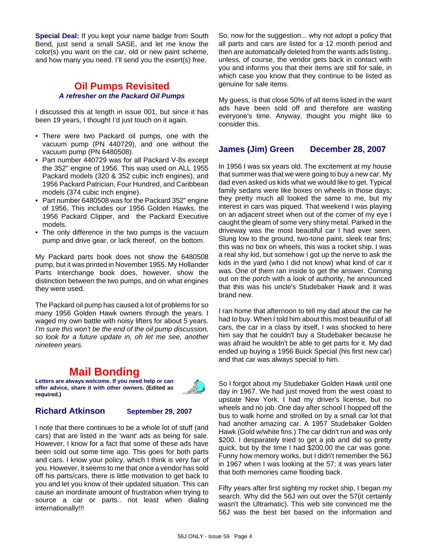**Special Deal:** If you kept your name badge from South Bend, just send a small SASE, and let me know the color(s) you want on the car, old or new paint scheme, and how many you need. I'll send you the insert(s) free.

## **Oil Pumps Revisited** *A refresher on the Packard Oil Pumps*

I discussed this at length in issue 001, but since it has been 19 years, I thought I'd just touch on it again.

- There were two Packard oil pumps, one with the vacuum pump (PN 440729), and one without the vacuum pump (PN 6480508).
- Part number 440729 was for all Packard V-8s except the 352" engine of 1956. This was used on ALL 1955 Packard models (320 & 352 cubic inch engines), and 1956 Packard Patrician, Four Hundred, and Caribbean models (374 cubic inch engine).
- Part number 6480508 was for the Packard 352" engine of 1956, This includes our 1956 Golden Hawks, the 1956 Packard Clipper, and the Packard Executive models.
- The only difference in the two pumps is the vacuum pump and drive gear, or lack thereof, on the bottom.

My Packard parts book does not show the 6480508 pump, but it was printed in November 1955. My Hollander Parts Interchange book does, however, show the distinction between the two pumps, and on what engines they were used.

The Packard oil pump has caused a lot of problems for so many 1956 Golden Hawk owners through the years. I waged my own battle with noisy lifters for about 5 years. *I'm sure this won't be the end of the oil pump discussion, so look for a future update in, oh let me see, another nineteen years.*

# **Mail Bonding**

**Letters are always welcome. If you need help or can offer advice, share it with other owners. (Edited as required.)**

## **Richard Atkinson September 29, 2007**

I note that there continues to be a whole lot of stuff (and cars) that are listed in the 'want' ads as being for sale. However, I know for a fact that some of these ads have been sold out some time ago. This goes for both parts and cars. I know your policy, which I think is very fair of you. However, it seems to me that once a vendor has sold off his parts/cars, there is little motivation to get back to you and let you know of their updated situation. This can cause an inordinate amount of frustration when trying to source a car or parts.. not least when dialing internationally!!!

So, now for the suggestion... why not adopt a policy that all parts and cars are listed for a 12 month period and then are automatically deleted from the wants ads listing.. unless, of course, the vendor gets back in contact with you and informs you that their items are still for sale, in which case you know that they continue to be listed as genuine for sale items.

My guess, is that close 50% of all items listed in the want ads have been sold off and therefore are wasting everyone's time. Anyway, thought you might like to consider this.

## **James (Jim) Green December 28, 2007**

In 1956 I was six years old. The excitement at my house that summer was that we were going to buy a new car. My dad even asked us kids what we would like to get. Typical family sedans were like boxes on wheels in those days; they pretty much all looked the same to me, but my interest in cars was piqued. That weekend I was playing on an adjacent street when out of the corner of my eye I caught the gleam of some very shiny metal. Parked in the driveway was the most beautiful car I had ever seen. Slung low to the ground, two-tone paint, sleek rear fins; this was no box on wheels, this was a rocket ship. I was a real shy kid, but somehow I got up the nerve to ask the kids in the yard (who I did not know) what kind of car it was. One of them ran inside to get the answer. Coming out on the porch with a look of authority, he announced that this was his uncle's Studebaker Hawk and it was brand new.

I ran home that afternoon to tell my dad about the car he had to buy. When I told him about this most beautiful of all cars, the car in a class by itself, I was shocked to here him say that he couldn't buy a Studebaker because he was afraid he wouldn't be able to get parts for it. My dad ended up buying a 1956 Buick Special (his first new car) and that car was always special to him.

So I forgot about my Studebaker Golden Hawk until one day in 1967. We had just moved from the west coast to upstate New York. I had my driver's license, but no wheels and no job. One day after school I hopped off the bus to walk home and strolled on by a small car lot that had another amazing car. A 1957 Studebaker Golden Hawk (Gold w/white fins.) The car didn't run and was only \$200. I desparately tried to get a job and did so pretty quick, but by the time I had \$200.00 the car was gone. Funny how memory works, but I didn't remember the 56J in 1967 when I was looking at the 57; it was years later that both memories came flooding back.

Fifty years after first sighting my rocket ship, I began my search. Why did the 56J win out over the 57(it certainly wasn't the Ultramatic). This web site convinced me the 56J was the best bet based on the information and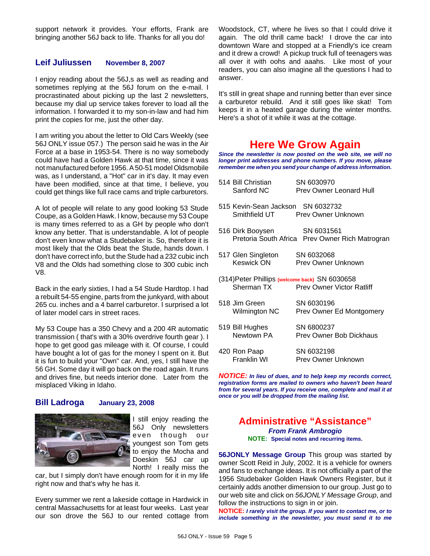support network it provides. Your efforts, Frank are bringing another 56J back to life. Thanks for all you do!

## **Leif Juliussen November 8, 2007**

I enjoy reading about the 56J,s as well as reading and sometimes replying at the 56J forum on the e-mail. I procrastinated about picking up the last 2 newsletters, because my dial up service takes forever to load all the information. I forwarded it to my son-in-law and had him print the copies for me, just the other day.

I am writing you about the letter to Old Cars Weekly (see 56J ONLY issue 057.) The person said he was in the Air Force at a base in 1953-54. There is no way somebody could have had a Golden Hawk at that time, since it was not manufactured before 1956. A 50-51 model Oldsmobile was, as I understand, a "Hot" car in it's day. It may even have been modified, since at that time, I believe, you could get things like full race cams and triple carburetors.

A lot of people will relate to any good looking 53 Stude Coupe, as a Golden Hawk. I know, because my 53 Coupe is many times referred to as a GH by people who don't know any better. That is understandable. A lot of people don't even know what a Studebaker is. So, therefore it is most likely that the Olds beat the Stude, hands down. I don't have correct info, but the Stude had a 232 cubic inch V8 and the Olds had something close to 300 cubic inch V8.

Back in the early sixties, I had a 54 Stude Hardtop. I had a rebuilt 54-55 engine, parts from the junkyard, with about 265 cu. inches and a 4 barrel carburetor. I surprised a lot of later model cars in street races.

My 53 Coupe has a 350 Chevy and a 200 4R automatic transmission ( that's with a 30% overdrive fourth gear ). I hope to get good gas mileage with it. Of course, I could have bought a lot of gas for the money I spent on it. But it is fun to build your "Own" car. And, yes, I still have the 56 GH. Some day it will go back on the road again. It runs and drives fine, but needs interior done. Later from the misplaced Viking in Idaho.

### **Bill Ladroga January 23, 2008**



I still enjoy reading the 56J Only newsletters even though our youngest son Tom gets to enjoy the Mocha and Doeskin 56J car up North! I really miss the

car, but I simply don't have enough room for it in my life right now and that's why he has it.

Every summer we rent a lakeside cottage in Hardwick in central Massachusetts for at least four weeks. Last year our son drove the 56J to our rented cottage from

Woodstock, CT, where he lives so that I could drive it again. The old thrill came back! I drove the car into downtown Ware and stopped at a Friendly's ice cream and it drew a crowd! A pickup truck full of teenagers was all over it with oohs and aaahs. Like most of your readers, you can also imagine all the questions I had to answer.

It's still in great shape and running better than ever since a carburetor rebuild. And it still goes like skat! Tom keeps it in a heated garage during the winter months. Here's a shot of it while it was at the cottage.

# **Here We Grow Again**

*Since the newsletter is now posted on the web site, we will no longer print addresses and phone numbers. If you move, please remember me when you send your change of address information.*

| 514 Bill Christian<br>Sanford NC               | SN 6030970<br><b>Prev Owner Leonard Hull</b>    |
|------------------------------------------------|-------------------------------------------------|
| 515 Kevin-Sean Jackson SN 6032732              | Smithfield UT Prey Owner Unknown                |
| 516 Dirk Booysen SN 6031561                    | Pretoria South Africa Prev Owner Rich Matrogran |
| 517 Glen Singleton SN 6032068<br>Keswick ON    | Prev Owner Unknown                              |
| (314) Peter Phillips (welcome back) SN 6030658 | Sherman TX Prev Owner Victor Ratliff            |
| 518 Jim Green<br>Wilmington NC                 | SN 6030196<br>Prev Owner Ed Montgomery          |
| 519 Bill Hughes<br>Newtown PA                  | SN 6800237<br>Prev Owner Bob Dickhaus           |
| 420 Ron Paap<br>Franklin WI                    | SN 6032198<br>Prev Owner Unknown                |
|                                                |                                                 |

*NOTICE: In lieu of dues, and to help keep my records correct, registration forms are mailed to owners who haven't been heard from for several years. If you receive one, complete and mail it at once or you will be dropped from the mailing list.*

### **Administrative "Assistance"** *From Frank Ambrogio* **NOTE: Special notes and recurring items.**

**56JONLY Message Group** This group was started by owner Scott Reid in July, 2002. It is a vehicle for owners and fans to exchange ideas. It is not officially a part of the 1956 Studebaker Golden Hawk Owners Register, but it certainly adds another dimension to our group. Just go to our web site and click on *56JONLY Message Group*, and follow the instructions to sign in or join.

**NOTICE:** *I rarely visit the group. If you want to contact me, or to include something in the newsletter, you must send it to me*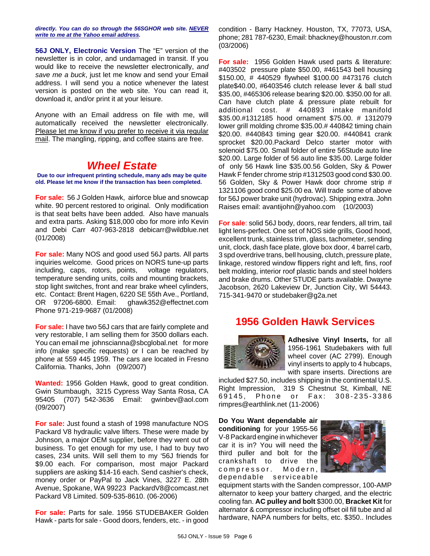*directly. You can do so through the 56SGHOR web site. NEVER write to me at the Yahoo email address.*

**56J ONLY, Electronic Version** The "E" version of the newsletter is in color, and undamaged in transit. If you would like to receive the newsletter electronically, *and save me a buck*, just let me know and send your Email address. I will send you a notice whenever the latest version is posted on the web site. You can read it, download it, and/or print it at your leisure.

Anyone with an Email address on file with me, will automatically received the newsletter electronically. Please let me know if you prefer to receive it via regular mail. The mangling, ripping, and coffee stains are free.

# *Wheel Estate*

**Due to our infrequent printing schedule, many ads may be quite old. Please let me know if the transaction has been completed.**

**For sale:** 56 J Golden Hawk, airforce blue and snowcap white. 90 percent restored to original. Only modification is that seat belts have been added. Also have manuals and extra parts. Asking \$18,000 obo for more info Kevin and Debi Carr 407-963-2818 debicarr@wildblue.net (01/2008)

**For sale:** Many NOS and good used 56J parts. All parts inquiries welcome. Good prices on NORS tune-up parts including, caps, rotors, points, voltage regulators, temperature sending units, coils and mounting brackets, stop light switches, front and rear brake wheel cylinders, etc. Contact: Brent Hagen, 6220 SE 55th Ave., Portland, OR 97206-6800. Email: ghawk352@effectnet.com Phone 971-219-9687 (01/2008)

**For sale:** I have two 56J cars that are fairly complete and very restorable, I am selling them for 3500 dollars each. You can email me johnscianna@sbcglobal.net for more info (make specific requests) or I can be reached by phone at 559 445 1959. The cars are located in Fresno California. Thanks, John (09/2007)

**Wanted:** 1956 Golden Hawk, good to great condition. Gwin Stumbaugh, 3215 Cypress Way Santa Rosa, CA 95405 (707) 542-3636 Email: gwinbev@aol.com (09/2007)

**For sale:** Just found a stash of 1998 manufacture NOS Packard V8 hydraulic valve lifters. These were made by Johnson, a major OEM supplier, before they went out of business. To get enough for my use, I had to buy two cases, 234 units. Will sell them to my '56J friends for \$9.00 each. For comparison, most major Packard suppliers are asking \$14-16 each. Send cashier's check, money order or PayPal to Jack Vines, 3227 E. 28th Avenue, Spokane, WA 99223 PackardV8@comcast.net Packard V8 Limited. 509-535-8610. (06-2006)

**For sale:** Parts for sale. 1956 STUDEBAKER Golden Hawk - parts for sale - Good doors, fenders, etc. - in good condition - Barry Hackney. Houston, TX, 77073, USA, phone; 281 787-6230, Email: bhackney@houston.rr.com (03/2006)

**For sale:** 1956 Golden Hawk used parts & literature: #403502 pressure plate \$50.00, #461543 bell housing \$150.00, # 440529 flywheel \$100.00 #473176 clutch plate\$40.00, #6403546 clutch release lever & ball stud \$35.00, #465306 release bearing \$20.00. \$350.00 for all. Can have clutch plate & pressure plate rebuilt for additional cost. # 440893 intake manifold \$35.00.#1312185 hood ornament \$75.00. # 1312079 lower grill molding chrome \$35.00.# 440842 timing chain \$20.00. #440843 timing gear \$20.00. #440841 crank sprocket \$20.00.Packard Delco starter motor with solenoid \$75.00. Small folder of entire 56Stude auto line \$20.00. Large folder of 56 auto line \$35.00. Large folder of only 56 Hawk line \$35.00.56 Golden, Sky & Power Hawk F fender chrome strip #1312503 good cond \$30.00. 56 Golden, Sky & Power Hawk door chrome strip # 1321106 good cond \$25.00 ea. Will trade some of above for 56J power brake unit (hydrovac). Shipping extra. John Raises email: avantijohn@yahoo.com (10/2003)

**For sale**: solid 56J body, doors, rear fenders, all trim, tail light lens-perfect. One set of NOS side grills, Good hood, excellent trunk, stainless trim, glass, tachometer, sending unit, clock, dash face plate, glove box door, 4 barrel carb, 3 spd overdrive trans, bell housing, clutch, pressure plate, linkage, restored window flippers right and left, fins, roof belt molding, interior roof plastic bands and steel holders and brake drums. Other STUDE parts available. Dwayne Jacobson, 2620 Lakeview Dr, Junction City, WI 54443. 715-341-9470 or studebaker@g2a.net

# **1956 Golden Hawk Services**



**Adhesive Vinyl Inserts,** for all 1956-1961 Studebakers with full wheel cover (AC 2799). Enough vinyl inserts to apply to 4 hubcaps, with spare inserts. Directions are

included \$27.50, includes shipping in the continental U.S. Right Impression, 319 S Chestnut St, Kimball, NE 69145, Phone or Fax: 308-235-3386 rimpres@earthlink.net (11-2006)

**Do You Want dependable air conditioning** for your 1955-56 V-8 Packard engine in whichever car it is in? You will need the third puller and bolt for the crankshaft to drive the compressor. Modern, dependable serviceable



equipment starts with the Sanden compressor, 100-AMP alternator to keep your battery charged, and the electric cooling fan. **AC pulley and bolt** \$300.00, **Bracket Kit** for alternator & compressor including offset oil fill tube and al hardware, NAPA numbers for belts, etc. \$350.. Includes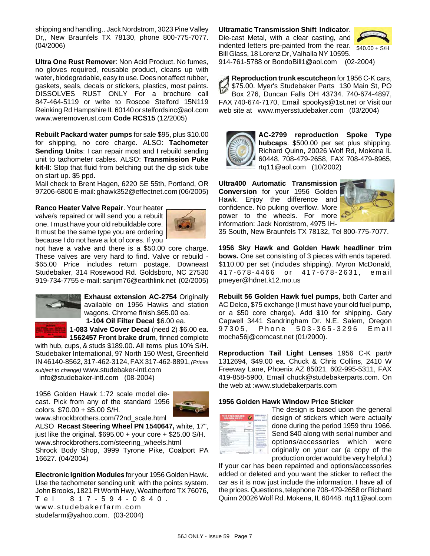shipping and handling.. Jack Nordstrom, 3023 Pine Valley Dr,, New Braunfels TX 78130, phone 800-775-7077. (04/2006)

**Ultra One Rust Remover**: Non Acid Product. No fumes, no gloves required, reusable product, cleans up with water, biodegradable, easy to use. Does not affect rubber, gaskets, seals, decals or stickers, plastics, most paints. DISSOLVES RUST ONLY For a brochure call 847-464-5119 or write to Roscoe Stelford 15N119 Reinking Rd Hampshire IL 60140 or stelfordsinc@aol.com www.weremoverust.com **Code RCS15** (12/2005)

**Rebuilt Packard water pumps** for sale \$95, plus \$10.00 for shipping, no core charge. ALSO: **Tachometer Sending Units**: I can repair most and I rebuild sending unit to tachometer cables. ALSO: **Transmission Puke kit-II**: Stop that fluid from belching out the dip stick tube on start up. \$5 ppd.

Mail check to Brent Hagen, 6220 SE 55th, Portland, OR 97206-6800 E-mail: ghawk352@effectnet.com (06/2005)

**Ranco Heater Valve Repair**. Your heater valve/s repaired or will send you a rebuilt one. I must have your old rebuildable core. It must be the same type you are ordering because I do not have a lot of cores. If you



not have a valve and there is a \$50.00 core charge. These valves are very hard to find. Valve or rebuild - \$65.00 Price includes return postage. Downeast Studebaker, 314 Rosewood Rd. Goldsboro, NC 27530 919-734-7755 e-mail: sanjim76@earthlink.net (02/2005)



**Exhaust extension AC-2754** Originally available on 1956 Hawks and station wagons. Chrome finish.\$65.00 ea.

**1-104 Oil Filter Decal** \$6.00 ea. **1-083 Valve Cover Decal** (need 2) \$6.00 ea. **1562457 Front brake drum**, finned complete

with hub, cups, & studs \$189.00. All items plus 10% S/H. Studebaker International, 97 North 150 West, Greenfield IN 46140-8562, 317-462-3124, FAX 317-462-8891, *(Prices subject to change)* www.studebaker-intl.com

info@studebaker-intl.com (08-2004)

1956 Golden Hawk 1:72 scale model diecast. Pick from any of the standard 1956 colors. \$70.00 + \$5.00 S/H.



www.shrockbrothers.com/72nd\_scale.html

ALSO **Recast Steering Wheel PN 1540647,** white, 17", just like the original.  $$695.00 +$  your core + \$25.00 S/H. www.shrockbrothers.com/steering\_wheels.html Shrock Body Shop, 3999 Tyrone Pike, Coalport PA 16627. (04/2004)

**Electronic Ignition Modules** for your 1956 Golden Hawk. Use the tachometer sending unit with the points system. John Brooks, 1821 Ft Worth Hwy, Weatherford TX 76076, Tel 817-594-0840. www.studebakerfarm.com studefarm@yahoo.com. (03-2004)

## **Ultramatic Transmission Shift Indicator**.

Die-cast Metal, with a clear casting, and indented letters pre-painted from the rear. Bill Glass, 18 Lorenz Dr, Valhalla NY 10595.



914-761-5788 or BondoBill1@aol.com (02-2004)

**Reproduction trunk escutcheon** for 1956 C-K cars, \$75.00. Myer's Studebaker Parts 130 Main St, PO Box 276, Duncan Falls OH 43734. 740-674-4897, FAX 740-674-7170, Email spookys@1st.net or Visit our web site at www.myersstudebaker.com (03/2004)



**AC-2799 reproduction Spoke Type hubcaps**. \$500.00 per set plus shipping. Richard Quinn, 20026 Wolf Rd, Mokena IL 60448, 708-479-2658, FAX 708-479-8965, rtq11@aol.com (10/2002)

**Ultra400 Automatic Transmission Conversion** for your 1956 Golden Hawk. Enjoy the difference and confidence. No puking overflow. More power to the wheels. For more information: Jack Nordstrom, 4975 IH-



35 South, New Braunfels TX 78132, Tel 800-775-7077.

**1956 Sky Hawk and Golden Hawk headliner trim bows.** One set consisting of 3 pieces with ends tapered. \$110.00 per set (includes shipping). Myron McDonald, 417-678-4466 or 417-678-2631, email pmeyer@hdnet.k12.mo.us

**Rebuilt 56 Golden Hawk fuel pumps**, both Carter and AC Delco, \$75 exchange (I must have your old fuel pump, or a \$50 core charge). Add \$10 for shipping. Gary Capwell 3441 Sandringham Dr. N.E. Salem, Oregon 97305, Phone 503-365-3296 Email mocha56j@comcast.net (01/2000).

**Reproduction Tail Light Lenses** 1956 C-K part# 1312694, \$49.00 ea. Chuck & Chris Collins, 2410 W Freeway Lane, Phoenix AZ 85021, 602-995-5311, FAX 419-858-5900, Email chuck@studebakerparts.com. On the web at :www.studebakerparts.com

### **1956 Golden Hawk Window Price Sticker**

| THE STUDEBAKER<br>GOLDEN HAWK |   |  |
|-------------------------------|---|--|
|                               |   |  |
|                               | L |  |
|                               |   |  |
|                               |   |  |
|                               |   |  |

The design is based upon the general design of stickers which were actually done during the period 1959 thru 1966. Send \$40 along with serial number and options/accessories which were originally on your car (a copy of the production order would be very helpful.)

If your car has been repainted and options/accessories added or deleted and you want the sticker to reflect the car as it is now just include the information. I have all of the prices. Questions, telephone 708-479-2658 or Richard Quinn 20026 Wolf Rd. Mokena, IL 60448. rtq11@aol.com